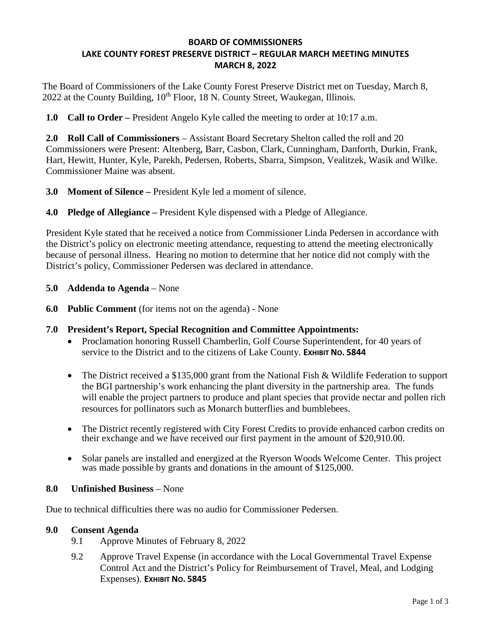### **BOARD OF COMMISSIONERS LAKE COUNTY FOREST PRESERVE DISTRICT – REGULAR MARCH MEETING MINUTES MARCH 8, 2022**

The Board of Commissioners of the Lake County Forest Preserve District met on Tuesday, March 8,  $2022$  at the County Building,  $10<sup>th</sup>$  Floor, 18 N. County Street, Waukegan, Illinois.

**1.0 Call to Order –** President Angelo Kyle called the meeting to order at 10:17 a.m.

**2.0 Roll Call of Commissioners** – Assistant Board Secretary Shelton called the roll and 20 Commissioners were Present: Altenberg, Barr, Casbon, Clark, Cunningham, Danforth, Durkin, Frank, Hart, Hewitt, Hunter, Kyle, Parekh, Pedersen, Roberts, Sbarra, Simpson, Vealitzek, Wasik and Wilke. Commissioner Maine was absent.

- **3.0 Moment of Silence** President Kyle led a moment of silence.
- **4.0 Pledge of Allegiance** President Kyle dispensed with a Pledge of Allegiance.

President Kyle stated that he received a notice from Commissioner Linda Pedersen in accordance with the District's policy on electronic meeting attendance, requesting to attend the meeting electronically because of personal illness. Hearing no motion to determine that her notice did not comply with the District's policy, Commissioner Pedersen was declared in attendance.

- **5.0 Addenda to Agenda** None
- **6.0 Public Comment** (for items not on the agenda) None
- **7.0 President's Report, Special Recognition and Committee Appointments:** 
	- Proclamation honoring Russell Chamberlin, Golf Course Superintendent, for 40 years of service to the District and to the citizens of Lake County. **EXHIBIT NO. 5844**
	- The District received a \$135,000 grant from the National Fish & Wildlife Federation to support the BGI partnership's work enhancing the plant diversity in the partnership area. The funds will enable the project partners to produce and plant species that provide nectar and pollen rich resources for pollinators such as Monarch butterflies and bumblebees.
	- The District recently registered with City Forest Credits to provide enhanced carbon credits on their exchange and we have received our first payment in the amount of \$20,910.00.
	- Solar panels are installed and energized at the Ryerson Woods Welcome Center. This project was made possible by grants and donations in the amount of \$125,000.

### **8.0 Unfinished Business** – None

Due to technical difficulties there was no audio for Commissioner Pedersen.

### **9.0 Consent Agenda**

- 9.1 Approve Minutes of February 8, 2022
- 9.2 Approve Travel Expense (in accordance with the Local Governmental Travel Expense Control Act and the District's Policy for Reimbursement of Travel, Meal, and Lodging Expenses). **EXHIBIT NO. 5845**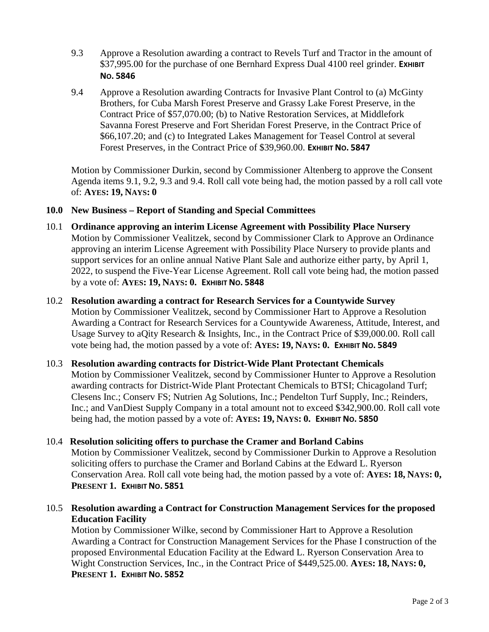- 9.3 Approve a Resolution awarding a contract to Revels Turf and Tractor in the amount of \$37,995.00 for the purchase of one Bernhard Express Dual 4100 reel grinder. **EXHIBIT NO. 5846**
- 9.4 Approve a Resolution awarding Contracts for Invasive Plant Control to (a) McGinty Brothers, for Cuba Marsh Forest Preserve and Grassy Lake Forest Preserve, in the Contract Price of \$57,070.00; (b) to Native Restoration Services, at Middlefork Savanna Forest Preserve and Fort Sheridan Forest Preserve, in the Contract Price of \$66,107.20; and (c) to Integrated Lakes Management for Teasel Control at several Forest Preserves, in the Contract Price of \$39,960.00. **EXHIBIT NO. 5847**

Motion by Commissioner Durkin, second by Commissioner Altenberg to approve the Consent Agenda items 9.1, 9.2, 9.3 and 9.4. Roll call vote being had, the motion passed by a roll call vote of: **AYES: 19, NAYS: 0**

#### **10.0 New Business – Report of Standing and Special Committees**

- 10.1 **Ordinance approving an interim License Agreement with Possibility Place Nursery**  Motion by Commissioner Vealitzek, second by Commissioner Clark to Approve an Ordinance approving an interim License Agreement with Possibility Place Nursery to provide plants and support services for an online annual Native Plant Sale and authorize either party, by April 1, 2022, to suspend the Five-Year License Agreement. Roll call vote being had, the motion passed by a vote of: **AYES: 19, NAYS: 0. EXHIBIT NO. 5848**
- 10.2 **Resolution awarding a contract for Research Services for a Countywide Survey** Motion by Commissioner Vealitzek, second by Commissioner Hart to Approve a Resolution Awarding a Contract for Research Services for a Countywide Awareness, Attitude, Interest, and Usage Survey to aQity Research & Insights, Inc., in the Contract Price of \$39,000.00. Roll call vote being had, the motion passed by a vote of: **AYES: 19, NAYS: 0. EXHIBIT NO. 5849**

### 10.3 **Resolution awarding contracts for District-Wide Plant Protectant Chemicals**  Motion by Commissioner Vealitzek, second by Commissioner Hunter to Approve a Resolution awarding contracts for District-Wide Plant Protectant Chemicals to BTSI; Chicagoland Turf; Clesens Inc.; Conserv FS; Nutrien Ag Solutions, Inc.; Pendelton Turf Supply, Inc.; Reinders, Inc.; and VanDiest Supply Company in a total amount not to exceed \$342,900.00. Roll call vote being had, the motion passed by a vote of: **AYES: 19, NAYS: 0. EXHIBIT NO. 5850**

### 10.4 **Resolution soliciting offers to purchase the Cramer and Borland Cabins**

 Motion by Commissioner Vealitzek, second by Commissioner Durkin to Approve a Resolution soliciting offers to purchase the Cramer and Borland Cabins at the Edward L. Ryerson Conservation Area. Roll call vote being had, the motion passed by a vote of: **AYES: 18, NAYS: 0, PRESENT 1. EXHIBIT NO. 5851**

### 10.5 **Resolution awarding a Contract for Construction Management Services for the proposed Education Facility**

 Motion by Commissioner Wilke, second by Commissioner Hart to Approve a Resolution Awarding a Contract for Construction Management Services for the Phase I construction of the proposed Environmental Education Facility at the Edward L. Ryerson Conservation Area to Wight Construction Services, Inc., in the Contract Price of \$449,525.00. **AYES: 18, NAYS: 0, PRESENT 1. EXHIBIT NO. 5852**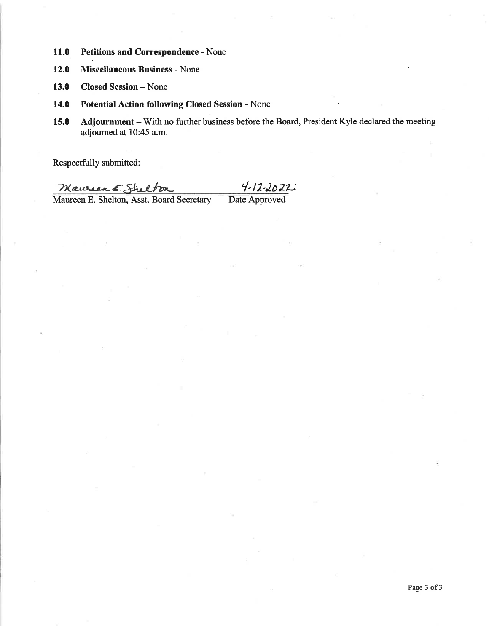- 11.0 Petitions and Correspondence - None
- **Miscellaneous Business None** 12.0
- 13.0 **Closed Session - None**
- 14.0 **Potential Action following Closed Session - None**
- 15.0 Adjournment - With no further business before the Board, President Kyle declared the meeting adjourned at 10:45 a.m.

Respectfully submitted:

 $4 - 12 - 2022$ Mauren E. Shelton Date Approved Maureen E. Shelton, Asst. Board Secretary